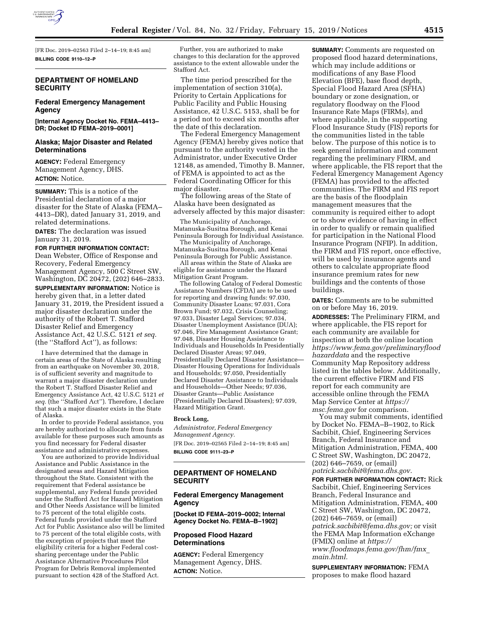

[FR Doc. 2019–02563 Filed 2–14–19; 8:45 am] **BILLING CODE 9110–12–P** 

## **DEPARTMENT OF HOMELAND SECURITY**

# **Federal Emergency Management Agency**

**[Internal Agency Docket No. FEMA–4413– DR; Docket ID FEMA–2019–0001]** 

## **Alaska; Major Disaster and Related Determinations**

**AGENCY:** Federal Emergency Management Agency, DHS. **ACTION:** Notice.

**SUMMARY:** This is a notice of the Presidential declaration of a major disaster for the State of Alaska (FEMA– 4413–DR), dated January 31, 2019, and related determinations.

**DATES:** The declaration was issued January 31, 2019.

#### **FOR FURTHER INFORMATION CONTACT:**

Dean Webster, Office of Response and Recovery, Federal Emergency Management Agency, 500 C Street SW, Washington, DC 20472, (202) 646–2833.

**SUPPLEMENTARY INFORMATION:** Notice is hereby given that, in a letter dated January 31, 2019, the President issued a major disaster declaration under the authority of the Robert T. Stafford Disaster Relief and Emergency Assistance Act, 42 U.S.C. 5121 *et seq.*  (the ''Stafford Act''), as follows:

I have determined that the damage in certain areas of the State of Alaska resulting from an earthquake on November 30, 2018, is of sufficient severity and magnitude to warrant a major disaster declaration under the Robert T. Stafford Disaster Relief and Emergency Assistance Act, 42 U.S.C. 5121 *et seq.* (the ''Stafford Act''). Therefore, I declare that such a major disaster exists in the State of Alaska.

In order to provide Federal assistance, you are hereby authorized to allocate from funds available for these purposes such amounts as you find necessary for Federal disaster assistance and administrative expenses.

You are authorized to provide Individual Assistance and Public Assistance in the designated areas and Hazard Mitigation throughout the State. Consistent with the requirement that Federal assistance be supplemental, any Federal funds provided under the Stafford Act for Hazard Mitigation and Other Needs Assistance will be limited to 75 percent of the total eligible costs. Federal funds provided under the Stafford Act for Public Assistance also will be limited to 75 percent of the total eligible costs, with the exception of projects that meet the eligibility criteria for a higher Federal costsharing percentage under the Public Assistance Alternative Procedures Pilot Program for Debris Removal implemented pursuant to section 428 of the Stafford Act.

Further, you are authorized to make changes to this declaration for the approved assistance to the extent allowable under the Stafford Act.

The time period prescribed for the implementation of section 310(a), Priority to Certain Applications for Public Facility and Public Housing Assistance, 42 U.S.C. 5153, shall be for a period not to exceed six months after the date of this declaration.

The Federal Emergency Management Agency (FEMA) hereby gives notice that pursuant to the authority vested in the Administrator, under Executive Order 12148, as amended, Timothy B. Manner, of FEMA is appointed to act as the Federal Coordinating Officer for this major disaster.

The following areas of the State of Alaska have been designated as adversely affected by this major disaster:

The Municipality of Anchorage, Matanuska-Susitna Borough, and Kenai Peninsula Borough for Individual Assistance.

The Municipality of Anchorage, Matanuska-Susitna Borough, and Kenai

Peninsula Borough for Public Assistance. All areas within the State of Alaska are eligible for assistance under the Hazard Mitigation Grant Program.

The following Catalog of Federal Domestic Assistance Numbers (CFDA) are to be used for reporting and drawing funds: 97.030, Community Disaster Loans; 97.031, Cora Brown Fund; 97.032, Crisis Counseling; 97.033, Disaster Legal Services; 97.034, Disaster Unemployment Assistance (DUA); 97.046, Fire Management Assistance Grant; 97.048, Disaster Housing Assistance to Individuals and Households In Presidentially Declared Disaster Areas; 97.049, Presidentially Declared Disaster Assistance— Disaster Housing Operations for Individuals and Households; 97.050, Presidentially Declared Disaster Assistance to Individuals and Households—Other Needs; 97.036, Disaster Grants—Public Assistance (Presidentially Declared Disasters); 97.039, Hazard Mitigation Grant.

#### **Brock Long,**

*Administrator, Federal Emergency Management Agency.*  [FR Doc. 2019–02565 Filed 2–14–19; 8:45 am] **BILLING CODE 9111–23–P** 

## **DEPARTMENT OF HOMELAND SECURITY**

# **Federal Emergency Management Agency**

**[Docket ID FEMA–2019–0002; Internal Agency Docket No. FEMA–B–1902]** 

# **Proposed Flood Hazard Determinations**

**AGENCY:** Federal Emergency Management Agency, DHS. **ACTION:** Notice.

**SUMMARY:** Comments are requested on proposed flood hazard determinations, which may include additions or modifications of any Base Flood Elevation (BFE), base flood depth, Special Flood Hazard Area (SFHA) boundary or zone designation, or regulatory floodway on the Flood Insurance Rate Maps (FIRMs), and where applicable, in the supporting Flood Insurance Study (FIS) reports for the communities listed in the table below. The purpose of this notice is to seek general information and comment regarding the preliminary FIRM, and where applicable, the FIS report that the Federal Emergency Management Agency (FEMA) has provided to the affected communities. The FIRM and FIS report are the basis of the floodplain management measures that the community is required either to adopt or to show evidence of having in effect in order to qualify or remain qualified for participation in the National Flood Insurance Program (NFIP). In addition, the FIRM and FIS report, once effective, will be used by insurance agents and others to calculate appropriate flood insurance premium rates for new buildings and the contents of those buildings.

**DATES:** Comments are to be submitted on or before May 16, 2019.

**ADDRESSES:** The Preliminary FIRM, and where applicable, the FIS report for each community are available for inspection at both the online location *[https://www.fema.gov/preliminaryflood](https://www.fema.gov/preliminaryfloodhazarddata) [hazarddata](https://www.fema.gov/preliminaryfloodhazarddata)* and the respective Community Map Repository address listed in the tables below. Additionally, the current effective FIRM and FIS report for each community are accessible online through the FEMA Map Service Center at *[https://](https://msc.fema.gov) [msc.fema.gov](https://msc.fema.gov)* for comparison.

You may submit comments, identified by Docket No. FEMA–B–1902, to Rick Sacbibit, Chief, Engineering Services Branch, Federal Insurance and Mitigation Administration, FEMA, 400 C Street SW, Washington, DC 20472, (202) 646–7659, or (email) *[patrick.sacbibit@fema.dhs.gov.](mailto:patrick.sacbibit@fema.dhs.gov)* 

**FOR FURTHER INFORMATION CONTACT:** Rick Sacbibit, Chief, Engineering Services Branch, Federal Insurance and Mitigation Administration, FEMA, 400 C Street SW, Washington, DC 20472, (202) 646–7659, or (email) *[patrick.sacbibit@fema.dhs.gov;](mailto:patrick.sacbibit@fema.dhs.gov)* or visit the FEMA Map Information eXchange (FMIX) online at *[https://](https://www.floodmaps.fema.gov/fhm/fmx_main.html) [www.floodmaps.fema.gov/fhm/fmx](https://www.floodmaps.fema.gov/fhm/fmx_main.html)*\_ *[main.html.](https://www.floodmaps.fema.gov/fhm/fmx_main.html)* 

**SUPPLEMENTARY INFORMATION:** FEMA proposes to make flood hazard